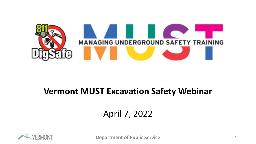

#### **Vermont MUST Excavation Safety Webinar**

#### April 7, 2022



**Department of Public Service** <sup>1</sup>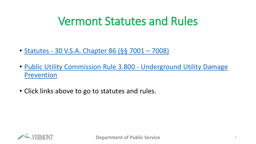## Vermont Statutes and Rules

- Statutes [30 V.S.A. Chapter 86 \(§§](https://legislature.vermont.gov/statutes/fullchapter/30/086) 7001 7008)
- [Public Utility Commission Rule 3.800 -](https://puc.vermont.gov/document/commission-rule-3800-underground-utility-damage-prevention) Underground Utility Damage Prevention
- Click links above to go to statutes and rules.

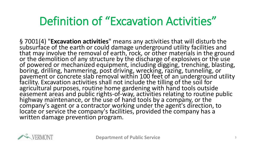## Definition of "Excavation Activities"

§ 7001(4) "**Excavation activities**" means any activities that will disturb the subsurface of the earth or could damage underground utility facilities and that may involve the removal of earth, rock, or other materials in the ground or the demolition of any structure by the discharge of explosives or the use of powered or mechanized equipment, including digging, trenching, blasting, boring, drilling, hammering, post driving, wrecking, razing, tunneling, or pavement or concrete slab removal within 100 feet of an underground utility facility. Excavation activities shall not include the tilling of the soil for agricultural purposes, routine home gardening with hand tools outside easement areas and public rights-of-way, activities relating to routine public highway maintenance, or the use of hand tools by a company, or the company's agent or a contractor working under the agent's direction, to locate or service the company's facilities, provided the company has a written damage prevention program.

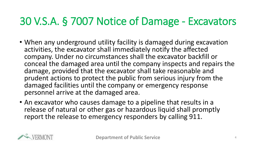#### 30 V.S.A. § 7007 Notice of Damage - Excavators

- When any underground utility facility is damaged during excavation activities, the excavator shall immediately notify the affected company. Under no circumstances shall the excavator backfill or conceal the damaged area until the company inspects and repairs the damage, provided that the excavator shall take reasonable and prudent actions to protect the public from serious injury from the damaged facilities until the company or emergency response personnel arrive at the damaged area.
- An excavator who causes damage to a pipeline that results in a release of natural or other gas or hazardous liquid shall promptly report the release to emergency responders by calling 911.

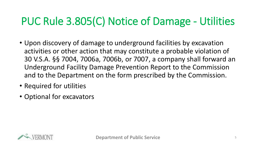### PUC Rule 3.805(C) Notice of Damage - Utilities

- Upon discovery of damage to underground facilities by excavation activities or other action that may constitute a probable violation of 30 V.S.A. §§ 7004, 7006a, 7006b, or 7007, a company shall forward an Underground Facility Damage Prevention Report to the Commission and to the Department on the form prescribed by the Commission.
- Required for utilities
- Optional for excavators

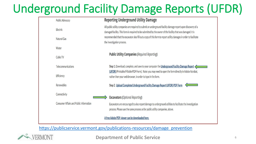# Underground Facility Damage Reports (UFDR)

|                                                 | <b>Public Advocacy</b>                         | <b>Reporting Underground Utility Damage</b>                                                                                                                                                                                   |  |  |
|-------------------------------------------------|------------------------------------------------|-------------------------------------------------------------------------------------------------------------------------------------------------------------------------------------------------------------------------------|--|--|
|                                                 | Electric                                       | All public utility companies are required to submit an underground facility damage report upon discovery of a<br>damaged facility. This form is required to be submitted by the owner of the facility that was damaged. It is |  |  |
|                                                 | Natural Gas                                    | recommended that the excavator also fill out a copy of this form to report utility damages in order to facilitate<br>the investigation process.                                                                               |  |  |
|                                                 | Water                                          |                                                                                                                                                                                                                               |  |  |
|                                                 | Cable TV                                       | <b>Public Utility Companies (Required Reporting)</b>                                                                                                                                                                          |  |  |
|                                                 | Telecommunications                             | Step 1. Download, complete, and save to your computer the Underground Facility Damage Report<br>(UFDR) (Printable/Fillable PDF Form). Note: you may need to open the form directly in Adobe Acrobat,                          |  |  |
|                                                 | Efficiency                                     | rather then your web browser, in order to type in the form.                                                                                                                                                                   |  |  |
|                                                 | Renewables                                     | Step 2. Upload Completed Underground Facility Damage Report (UFDR) PDF Form                                                                                                                                                   |  |  |
|                                                 | Connectivity                                   | <b>Excavators (Optional Reporting)</b>                                                                                                                                                                                        |  |  |
|                                                 | <b>Consumer Affairs and Public Information</b> | Excavators are encouraged to also report damage to underground utilities to facilitate the investigation<br>process. Please use the same process as for public utility companies, above.                                      |  |  |
| A free Adobe PDF viewer can be downloaded here. |                                                |                                                                                                                                                                                                                               |  |  |

[https://publicservice.vermont.gov/publications-resources/damage\\_prevention](https://publicservice.vermont.gov/publications-resources/damage_prevention)



**Department of Public Service** 6 and 6 6 **6 and 7 and 7 and 7 and 7 and 7 and 7 and 7 and 7 and 7 and 7 and 7 and 7 and 7 and 7 and 7 and 7 and 7 and 7 and 7 and 7 and 7 and 7 and 7 and 7 and 7 and 7 and 7 and 7 and 7 and**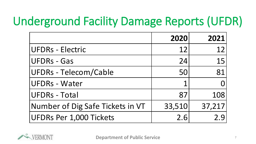# Underground Facility Damage Reports (UFDR)

|                                  | 2020   | 2021   |
|----------------------------------|--------|--------|
| <b>UFDRs - Electric</b>          | 12     | 12     |
| <b>UFDRs - Gas</b>               | 24     | 15     |
| <b>UFDRs - Telecom/Cable</b>     | 50     | 81     |
| <b>UFDRs - Water</b>             |        |        |
| <b>UFDRs - Total</b>             | 87     | 108    |
| Number of Dig Safe Tickets in VT | 33,510 | 37,217 |
| UFDRs Per 1,000 Tickets          | 2.6    |        |

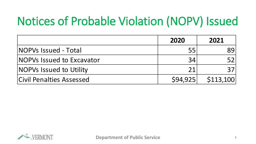# Notices of Probable Violation (NOPV) Issued

|                                  | 2020     | 2021      |
|----------------------------------|----------|-----------|
| <b>NOPVs Issued - Total</b>      | 55       | 89        |
| <b>NOPVs Issued to Excavator</b> | 34       |           |
| <b>NOPVs Issued to Utility</b>   | 21       |           |
| <b>Civil Penalties Assessed</b>  | \$94,925 | \$113,100 |

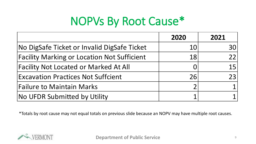# NOPVs By Root Cause\*

|                                                    | 2020                     | 2021            |
|----------------------------------------------------|--------------------------|-----------------|
| No DigSafe Ticket or Invalid DigSafe Ticket        | 10                       | <b>30</b>       |
| <b>Facility Marking or Location Not Sufficient</b> | 18                       | 22 <sub>1</sub> |
| <b>Facility Not Located or Marked At All</b>       |                          | 15 <sup>1</sup> |
| <b>Excavation Practices Not Suffcient</b>          | 26                       | 23              |
| Failure to Maintain Marks                          | $\overline{\mathcal{L}}$ |                 |
| No UFDR Submitted by Utility                       |                          |                 |

\*Totals by root cause may not equal totals on previous slide because an NOPV may have multiple root causes.

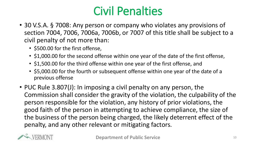## Civil Penalties

- 30 V.S.A. § 7008: Any person or company who violates any provisions of section 7004, 7006, 7006a, 7006b, or 7007 of this title shall be subject to a civil penalty of not more than:
	- \$500.00 for the first offense,
	- \$1,000.00 for the second offense within one year of the date of the first offense,
	- \$1,500.00 for the third offense within one year of the first offense, and
	- \$5,000.00 for the fourth or subsequent offense within one year of the date of a previous offense
- PUC Rule 3.807(J): In imposing a civil penalty on any person, the Commission shall consider the gravity of the violation, the culpability of the person responsible for the violation, any history of prior violations, the good faith of the person in attempting to achieve compliance, the size of the business of the person being charged, the likely deterrent effect of the penalty, and any other relevant or mitigating factors.